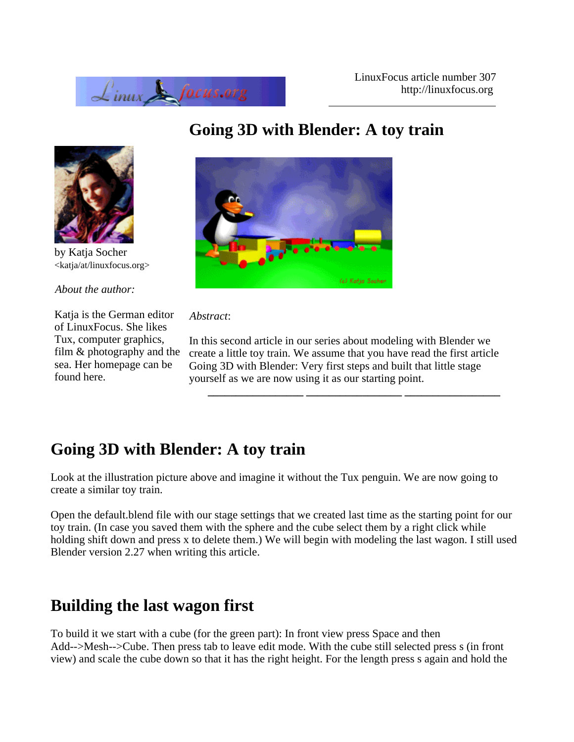



by Katja Socher <katja/at/linuxfocus.org>

*About the author:*

Katja is the German editor of LinuxFocus. She likes Tux, computer graphics, film & photography and the sea. Her homepage can be found here.

# (c) Katja Socher

#### *Abstract*:

In this second article in our series about modeling with Blender we create a little toy train. We assume that you have read the first article Going 3D with Blender: Very first steps and built that little stage yourself as we are now using it as our starting point.

**\_\_\_\_\_\_\_\_\_\_\_\_\_\_\_\_\_ \_\_\_\_\_\_\_\_\_\_\_\_\_\_\_\_\_ \_\_\_\_\_\_\_\_\_\_\_\_\_\_\_\_\_**

# **Going 3D with Blender: A toy train**

Look at the illustration picture above and imagine it without the Tux penguin. We are now going to create a similar toy train.

Open the default.blend file with our stage settings that we created last time as the starting point for our toy train. (In case you saved them with the sphere and the cube select them by a right click while holding shift down and press x to delete them.) We will begin with modeling the last wagon. I still used Blender version 2.27 when writing this article.

# **Building the last wagon first**

To build it we start with a cube (for the green part): In front view press Space and then Add-->Mesh-->Cube. Then press tab to leave edit mode. With the cube still selected press s (in front view) and scale the cube down so that it has the right height. For the length press s again and hold the

# **Going 3D with Blender: A toy train**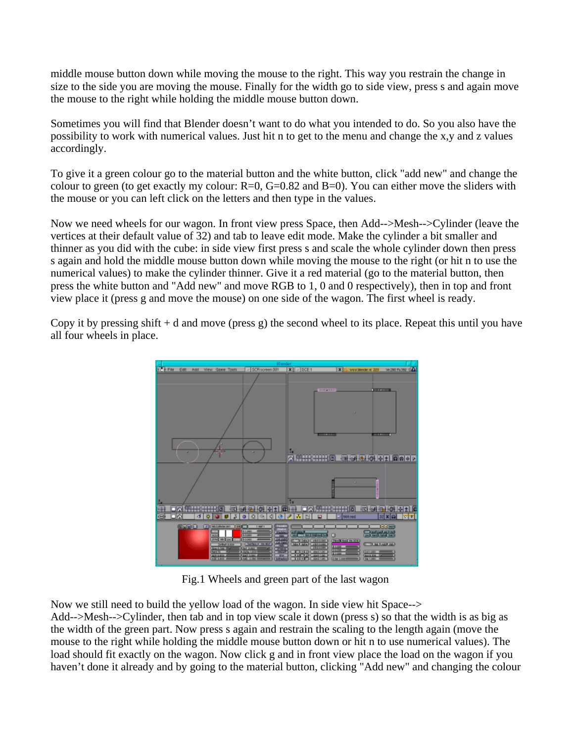middle mouse button down while moving the mouse to the right. This way you restrain the change in size to the side you are moving the mouse. Finally for the width go to side view, press s and again move the mouse to the right while holding the middle mouse button down.

Sometimes you will find that Blender doesn't want to do what you intended to do. So you also have the possibility to work with numerical values. Just hit n to get to the menu and change the x,y and z values accordingly.

To give it a green colour go to the material button and the white button, click "add new" and change the colour to green (to get exactly my colour:  $R=0$ ,  $G=0.82$  and  $B=0$ ). You can either move the sliders with the mouse or you can left click on the letters and then type in the values.

Now we need wheels for our wagon. In front view press Space, then Add-->Mesh-->Cylinder (leave the vertices at their default value of 32) and tab to leave edit mode. Make the cylinder a bit smaller and thinner as you did with the cube: in side view first press s and scale the whole cylinder down then press s again and hold the middle mouse button down while moving the mouse to the right (or hit n to use the numerical values) to make the cylinder thinner. Give it a red material (go to the material button, then press the white button and "Add new" and move RGB to 1, 0 and 0 respectively), then in top and front view place it (press g and move the mouse) on one side of the wagon. The first wheel is ready.

Copy it by pressing shift  $+$  d and move (press g) the second wheel to its place. Repeat this until you have all four wheels in place.



Fig.1 Wheels and green part of the last wagon

Now we still need to build the yellow load of the wagon. In side view hit Space--> Add-->Mesh-->Cylinder, then tab and in top view scale it down (press s) so that the width is as big as the width of the green part. Now press s again and restrain the scaling to the length again (move the mouse to the right while holding the middle mouse button down or hit n to use numerical values). The load should fit exactly on the wagon. Now click g and in front view place the load on the wagon if you haven't done it already and by going to the material button, clicking "Add new" and changing the colour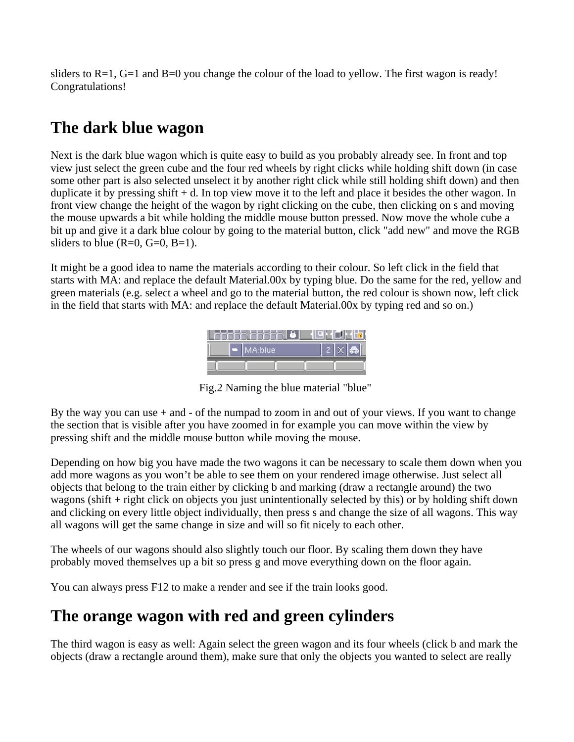sliders to  $R=1$ ,  $G=1$  and  $B=0$  you change the colour of the load to yellow. The first wagon is ready! Congratulations!

# **The dark blue wagon**

Next is the dark blue wagon which is quite easy to build as you probably already see. In front and top view just select the green cube and the four red wheels by right clicks while holding shift down (in case some other part is also selected unselect it by another right click while still holding shift down) and then duplicate it by pressing shift + d. In top view move it to the left and place it besides the other wagon. In front view change the height of the wagon by right clicking on the cube, then clicking on s and moving the mouse upwards a bit while holding the middle mouse button pressed. Now move the whole cube a bit up and give it a dark blue colour by going to the material button, click "add new" and move the RGB sliders to blue  $(R=0, G=0, B=1)$ .

It might be a good idea to name the materials according to their colour. So left click in the field that starts with MA: and replace the default Material.00x by typing blue. Do the same for the red, yellow and green materials (e.g. select a wheel and go to the material button, the red colour is shown now, left click in the field that starts with MA: and replace the default Material.00x by typing red and so on.)

|  | MA:blue |  |  |
|--|---------|--|--|
|  |         |  |  |

Fig.2 Naming the blue material "blue"

By the way you can use + and - of the numpad to zoom in and out of your views. If you want to change the section that is visible after you have zoomed in for example you can move within the view by pressing shift and the middle mouse button while moving the mouse.

Depending on how big you have made the two wagons it can be necessary to scale them down when you add more wagons as you won't be able to see them on your rendered image otherwise. Just select all objects that belong to the train either by clicking b and marking (draw a rectangle around) the two wagons (shift + right click on objects you just unintentionally selected by this) or by holding shift down and clicking on every little object individually, then press s and change the size of all wagons. This way all wagons will get the same change in size and will so fit nicely to each other.

The wheels of our wagons should also slightly touch our floor. By scaling them down they have probably moved themselves up a bit so press g and move everything down on the floor again.

You can always press F12 to make a render and see if the train looks good.

# **The orange wagon with red and green cylinders**

The third wagon is easy as well: Again select the green wagon and its four wheels (click b and mark the objects (draw a rectangle around them), make sure that only the objects you wanted to select are really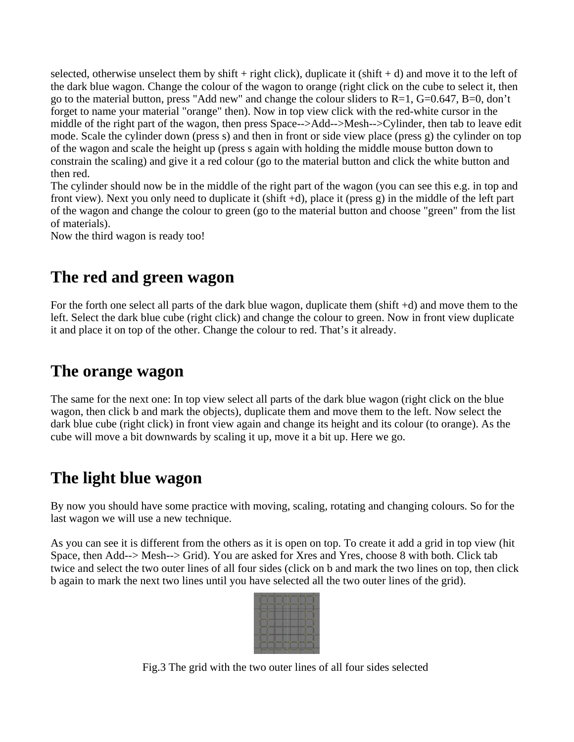selected, otherwise unselect them by shift + right click), duplicate it (shift + d) and move it to the left of the dark blue wagon. Change the colour of the wagon to orange (right click on the cube to select it, then go to the material button, press "Add new" and change the colour sliders to R=1, G=0.647, B=0, don't forget to name your material "orange" then). Now in top view click with the red-white cursor in the middle of the right part of the wagon, then press Space-->Add-->Mesh-->Cylinder, then tab to leave edit mode. Scale the cylinder down (press s) and then in front or side view place (press g) the cylinder on top of the wagon and scale the height up (press s again with holding the middle mouse button down to constrain the scaling) and give it a red colour (go to the material button and click the white button and then red.

The cylinder should now be in the middle of the right part of the wagon (you can see this e.g. in top and front view). Next you only need to duplicate it (shift +d), place it (press g) in the middle of the left part of the wagon and change the colour to green (go to the material button and choose "green" from the list of materials).

Now the third wagon is ready too!

### **The red and green wagon**

For the forth one select all parts of the dark blue wagon, duplicate them (shift +d) and move them to the left. Select the dark blue cube (right click) and change the colour to green. Now in front view duplicate it and place it on top of the other. Change the colour to red. That's it already.

#### **The orange wagon**

The same for the next one: In top view select all parts of the dark blue wagon (right click on the blue wagon, then click b and mark the objects), duplicate them and move them to the left. Now select the dark blue cube (right click) in front view again and change its height and its colour (to orange). As the cube will move a bit downwards by scaling it up, move it a bit up. Here we go.

### **The light blue wagon**

By now you should have some practice with moving, scaling, rotating and changing colours. So for the last wagon we will use a new technique.

As you can see it is different from the others as it is open on top. To create it add a grid in top view (hit Space, then Add--> Mesh--> Grid). You are asked for Xres and Yres, choose 8 with both. Click tab twice and select the two outer lines of all four sides (click on b and mark the two lines on top, then click b again to mark the next two lines until you have selected all the two outer lines of the grid).



Fig.3 The grid with the two outer lines of all four sides selected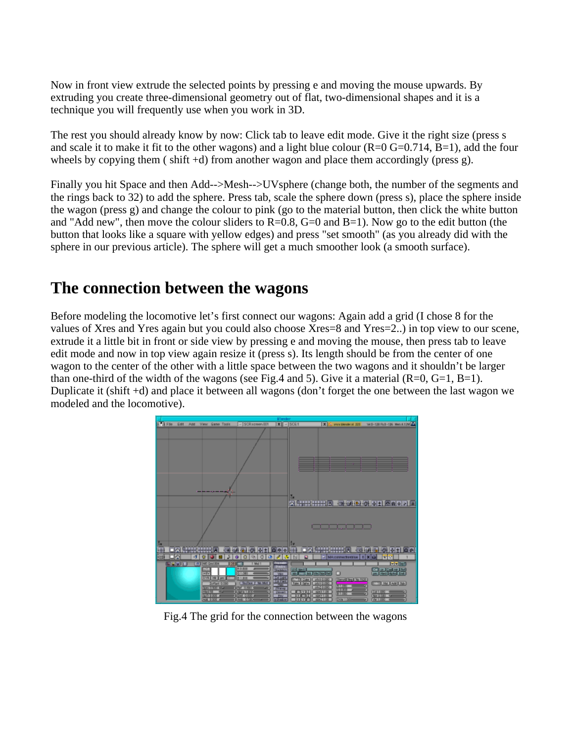Now in front view extrude the selected points by pressing e and moving the mouse upwards. By extruding you create three-dimensional geometry out of flat, two-dimensional shapes and it is a technique you will frequently use when you work in 3D.

The rest you should already know by now: Click tab to leave edit mode. Give it the right size (press s and scale it to make it fit to the other wagons) and a light blue colour  $(R=0 G=0.714, B=1)$ , add the four wheels by copying them (shift +d) from another wagon and place them accordingly (press g).

Finally you hit Space and then Add-->Mesh-->UVsphere (change both, the number of the segments and the rings back to 32) to add the sphere. Press tab, scale the sphere down (press s), place the sphere inside the wagon (press g) and change the colour to pink (go to the material button, then click the white button and "Add new", then move the colour sliders to  $R=0.8$ ,  $G=0$  and  $B=1$ ). Now go to the edit button (the button that looks like a square with yellow edges) and press "set smooth" (as you already did with the sphere in our previous article). The sphere will get a much smoother look (a smooth surface).

#### **The connection between the wagons**

Before modeling the locomotive let's first connect our wagons: Again add a grid (I chose 8 for the values of Xres and Yres again but you could also choose Xres=8 and Yres=2..) in top view to our scene, extrude it a little bit in front or side view by pressing e and moving the mouse, then press tab to leave edit mode and now in top view again resize it (press s). Its length should be from the center of one wagon to the center of the other with a little space between the two wagons and it shouldn't be larger than one-third of the width of the wagons (see Fig.4 and 5). Give it a material  $(R=0, G=1, B=1)$ . Duplicate it (shift +d) and place it between all wagons (don't forget the one between the last wagon we modeled and the locomotive).



Fig.4 The grid for the connection between the wagons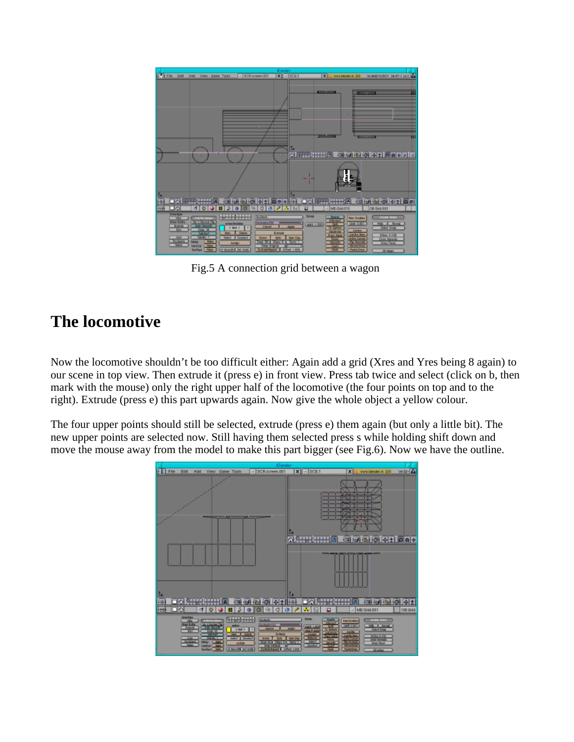

Fig.5 A connection grid between a wagon

### **The locomotive**

Now the locomotive shouldn't be too difficult either: Again add a grid (Xres and Yres being 8 again) to our scene in top view. Then extrude it (press e) in front view. Press tab twice and select (click on b, then mark with the mouse) only the right upper half of the locomotive (the four points on top and to the right). Extrude (press e) this part upwards again. Now give the whole object a yellow colour.

The four upper points should still be selected, extrude (press e) them again (but only a little bit). The new upper points are selected now. Still having them selected press s while holding shift down and move the mouse away from the model to make this part bigger (see Fig.6). Now we have the outline.

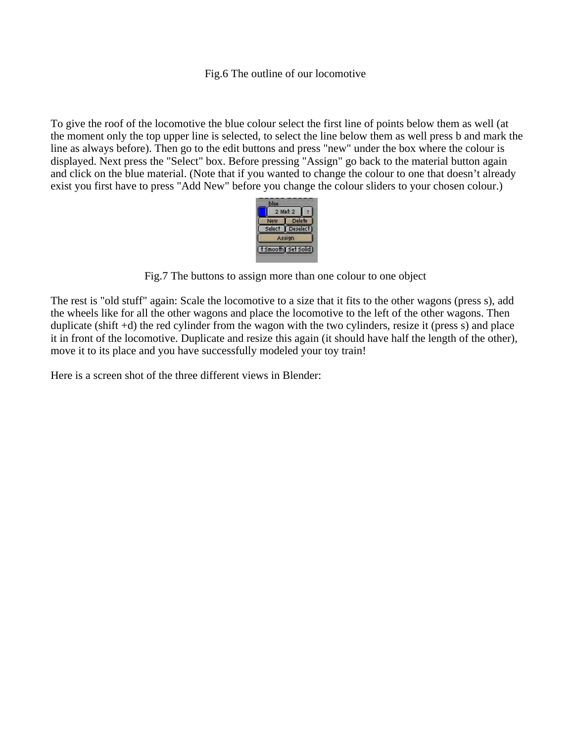To give the roof of the locomotive the blue colour select the first line of points below them as well (at the moment only the top upper line is selected, to select the line below them as well press b and mark the line as always before). Then go to the edit buttons and press "new" under the box where the colour is displayed. Next press the "Select" box. Before pressing "Assign" go back to the material button again and click on the blue material. (Note that if you wanted to change the colour to one that doesn't already exist you first have to press "Add New" before you change the colour sliders to your chosen colour.)



Fig.7 The buttons to assign more than one colour to one object

The rest is "old stuff" again: Scale the locomotive to a size that it fits to the other wagons (press s), add the wheels like for all the other wagons and place the locomotive to the left of the other wagons. Then duplicate (shift +d) the red cylinder from the wagon with the two cylinders, resize it (press s) and place it in front of the locomotive. Duplicate and resize this again (it should have half the length of the other), move it to its place and you have successfully modeled your toy train!

Here is a screen shot of the three different views in Blender: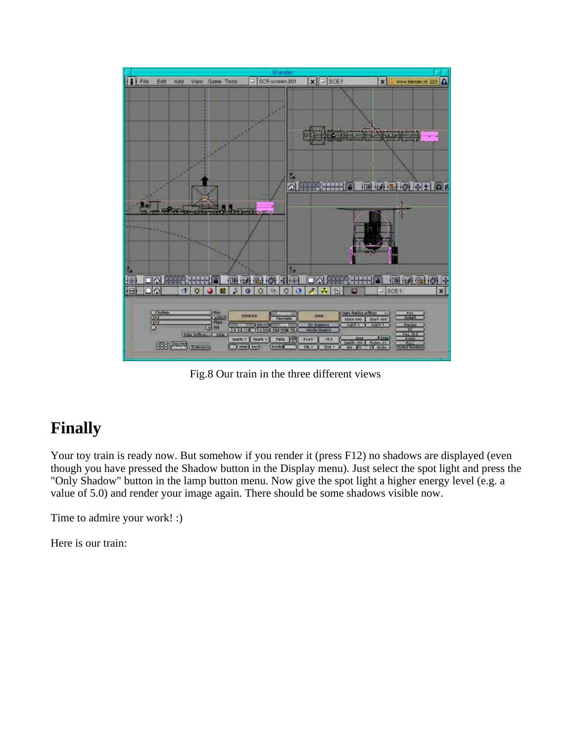

Fig.8 Our train in the three different views

# **Finally**

Your toy train is ready now. But somehow if you render it (press F12) no shadows are displayed (even though you have pressed the Shadow button in the Display menu). Just select the spot light and press the "Only Shadow" button in the lamp button menu. Now give the spot light a higher energy level (e.g. a value of 5.0) and render your image again. There should be some shadows visible now.

Time to admire your work! :)

Here is our train: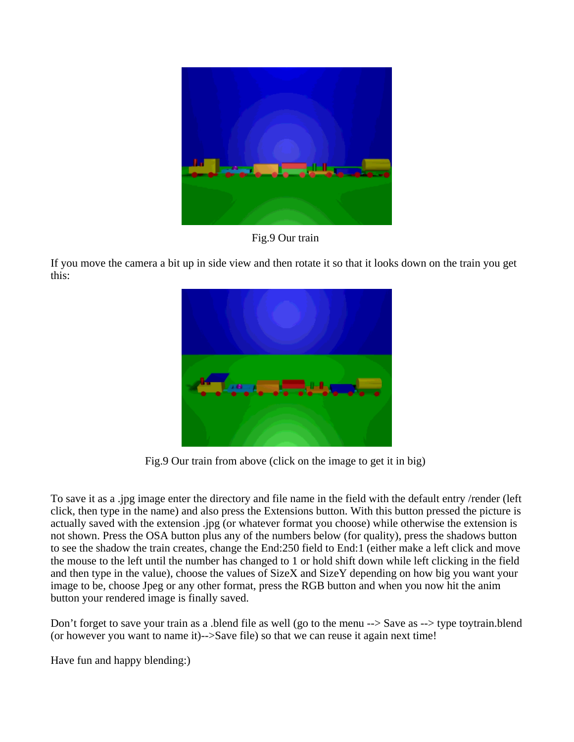

Fig.9 Our train

If you move the camera a bit up in side view and then rotate it so that it looks down on the train you get this:



Fig.9 Our train from above (click on the image to get it in big)

To save it as a .jpg image enter the directory and file name in the field with the default entry /render (left click, then type in the name) and also press the Extensions button. With this button pressed the picture is actually saved with the extension .jpg (or whatever format you choose) while otherwise the extension is not shown. Press the OSA button plus any of the numbers below (for quality), press the shadows button to see the shadow the train creates, change the End:250 field to End:1 (either make a left click and move the mouse to the left until the number has changed to 1 or hold shift down while left clicking in the field and then type in the value), choose the values of SizeX and SizeY depending on how big you want your image to be, choose Jpeg or any other format, press the RGB button and when you now hit the anim button your rendered image is finally saved.

Don't forget to save your train as a .blend file as well (go to the menu --> Save as --> type toytrain.blend (or however you want to name it)-->Save file) so that we can reuse it again next time!

Have fun and happy blending:)